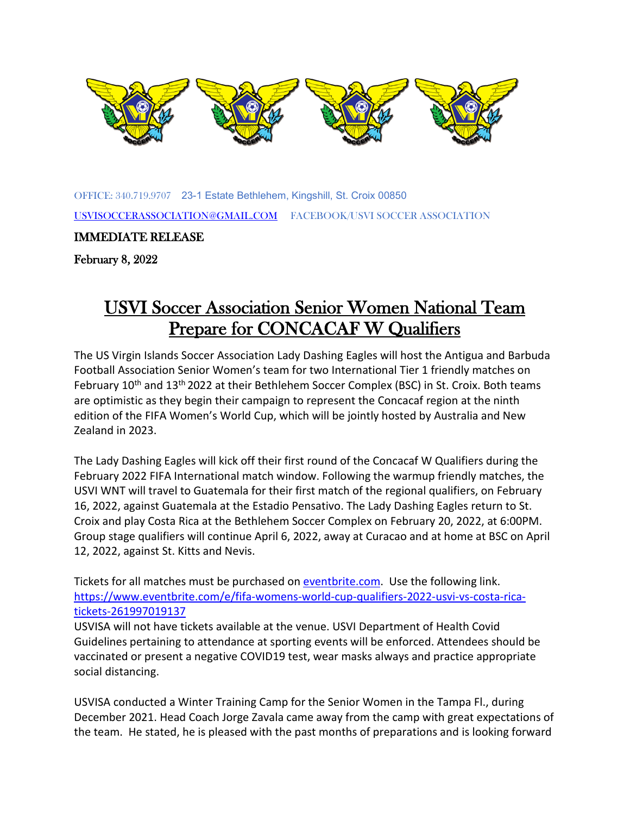

OF[FICE: 340](https://creativecommons.org/licenses/by-sa/3.0/).719.9707 23-[1 Estate](https://creativecommons.org/licenses/by-sa/3.0/) Bethlehem, Kin[gshill, St.](https://creativecommons.org/licenses/by-sa/3.0/) Croix 00850 [USVISOCCERASSOCIATION@GMAIL.COM](mailto:USVISOCCERASSOCIATION@GMAIL.COM) FACEBOOK/USVI SOCCER ASSOCIATION

IMMEDIATE RELEASE

February 8, 2022

## USVI Soccer Association Senior Women National Team Prepare for CONCACAF W Qualifiers

The US Virgin Islands Soccer Association Lady Dashing Eagles will host the Antigua and Barbuda Football Association Senior Women's team for two International Tier 1 friendly matches on February 10<sup>th</sup> and 13<sup>th</sup> 2022 at their Bethlehem Soccer Complex (BSC) in St. Croix. Both teams are optimistic as they begin their campaign to represent the Concacaf region at the ninth edition of the FIFA Women's World Cup, which will be jointly hosted by Australia and New Zealand in 2023.

The Lady Dashing Eagles will kick off their first round of the Concacaf W Qualifiers during the February 2022 FIFA International match window. Following the warmup friendly matches, the USVI WNT will travel to Guatemala for their first match of the regional qualifiers, on February 16, 2022, against Guatemala at the Estadio Pensativo. The Lady Dashing Eagles return to St. Croix and play Costa Rica at the Bethlehem Soccer Complex on February 20, 2022, at 6:00PM. Group stage qualifiers will continue April 6, 2022, away at Curacao and at home at BSC on April 12, 2022, against St. Kitts and Nevis.

Tickets for all matches must be purchased on [eventbrite.com.](http://eventbrite.com/) Use the following link. [https://www.eventbrite.com/e/fifa-womens-world-cup-qualifiers-2022-usvi-vs-costa-rica](https://www.eventbrite.com/e/fifa-womens-world-cup-qualifiers-2022-usvi-vs-costa-rica-tickets-261997019137)[tickets-261997019137](https://www.eventbrite.com/e/fifa-womens-world-cup-qualifiers-2022-usvi-vs-costa-rica-tickets-261997019137) 

USVISA will not have tickets available at the venue. USVI Department of Health Covid Guidelines pertaining to attendance at sporting events will be enforced. Attendees should be vaccinated or present a negative COVID19 test, wear masks always and practice appropriate social distancing.

USVISA conducted a Winter Training Camp for the Senior Women in the Tampa Fl., during December 2021. Head Coach Jorge Zavala came away from the camp with great expectations of the team. He stated, he is pleased with the past months of preparations and is looking forward